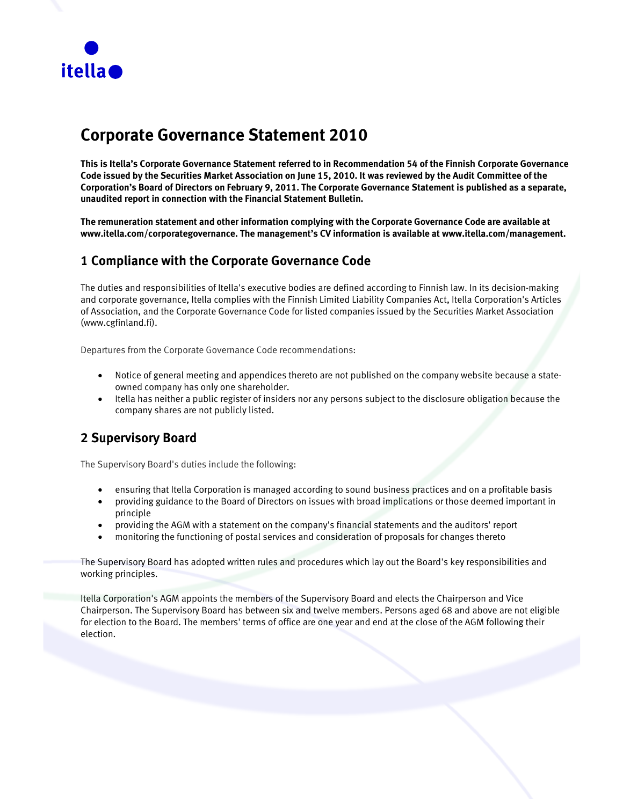

# **Corporate Governance Statement 2010**

**This is Itella's Corporate Governance Statement referred to in Recommendation 54 of the Finnish Corporate Governance Code issued by the Securities Market Association on June 15, 2010. It was reviewed by the Audit Committee of the Corporation's Board of Directors on February 9, 2011. The Corporate Governance Statement is published as a separate, unaudited report in connection with the Financial Statement Bulletin.** 

**The remuneration statement and other information complying with the Corporate Governance Code are available at www.itella.com/corporategovernance. The management's CV information is available at www.itella.com/management.** 

### **1 Compliance with the Corporate Governance Code**

The duties and responsibilities of Itella's executive bodies are defined according to Finnish law. In its decision-making and corporate governance, Itella complies with the Finnish Limited Liability Companies Act, Itella Corporation's Articles of Association, and the Corporate Governance Code for listed companies issued by the Securities Market Association (www.cgfinland.fi).

Departures from the Corporate Governance Code recommendations:

- Notice of general meeting and appendices thereto are not published on the company website because a stateowned company has only one shareholder.
- Itella has neither a public register of insiders nor any persons subject to the disclosure obligation because the company shares are not publicly listed.

# **2 Supervisory Board**

The Supervisory Board's duties include the following:

- ensuring that Itella Corporation is managed according to sound business practices and on a profitable basis
- providing guidance to the Board of Directors on issues with broad implications or those deemed important in principle
- providing the AGM with a statement on the company's financial statements and the auditors' report
- monitoring the functioning of postal services and consideration of proposals for changes thereto

The Supervisory Board has adopted written rules and procedures which lay out the Board's key responsibilities and working principles.

Itella Corporation's AGM appoints the members of the Supervisory Board and elects the Chairperson and Vice Chairperson. The Supervisory Board has between six and twelve members. Persons aged 68 and above are not eligible for election to the Board. The members' terms of office are one year and end at the close of the AGM following their election.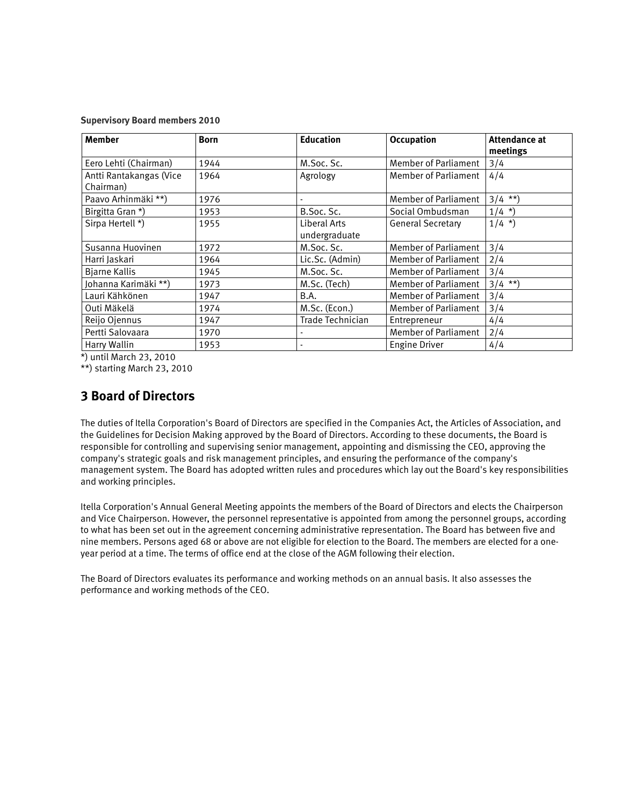#### **Supervisory Board members 2010**

| <b>Member</b>           | <b>Born</b> | <b>Education</b> | Occupation                  | Attendance at<br>meetings |
|-------------------------|-------------|------------------|-----------------------------|---------------------------|
| Eero Lehti (Chairman)   | 1944        | M.Soc. Sc.       | <b>Member of Parliament</b> | 3/4                       |
| Antti Rantakangas (Vice | 1964        | Agrology         | <b>Member of Parliament</b> | 4/4                       |
| Chairman)               |             |                  |                             |                           |
| Paavo Arhinmäki **)     | 1976        |                  | <b>Member of Parliament</b> | $3/4$ **)                 |
| Birgitta Gran *)        | 1953        | B.Soc. Sc.       | Social Ombudsman            | $1/4$ *)                  |
| Sirpa Hertell *)        | 1955        | Liberal Arts     | <b>General Secretary</b>    | $1/4$ *)                  |
|                         |             | undergraduate    |                             |                           |
| Susanna Huovinen        | 1972        | M.Soc. Sc.       | <b>Member of Parliament</b> | 3/4                       |
| Harri Jaskari           | 1964        | Lic.Sc. (Admin)  | <b>Member of Parliament</b> | 2/4                       |
| <b>Bjarne Kallis</b>    | 1945        | M.Soc. Sc.       | <b>Member of Parliament</b> | 3/4                       |
| Johanna Karimäki **)    | 1973        | M.Sc. (Tech)     | <b>Member of Parliament</b> | $3/4$ **)                 |
| Lauri Kähkönen          | 1947        | B.A.             | <b>Member of Parliament</b> | 3/4                       |
| Outi Mäkelä             | 1974        | M.Sc. (Econ.)    | <b>Member of Parliament</b> | 3/4                       |
| Reijo Ojennus           | 1947        | Trade Technician | Entrepreneur                | 4/4                       |
| Pertti Salovaara        | 1970        |                  | <b>Member of Parliament</b> | 2/4                       |
| Harry Wallin            | 1953        | ٠                | <b>Engine Driver</b>        | 4/4                       |

\*) until March 23, 2010

\*\*) starting March 23, 2010

### **3 Board of Directors**

The duties of Itella Corporation's Board of Directors are specified in the Companies Act, the Articles of Association, and the Guidelines for Decision Making approved by the Board of Directors. According to these documents, the Board is responsible for controlling and supervising senior management, appointing and dismissing the CEO, approving the company's strategic goals and risk management principles, and ensuring the performance of the company's management system. The Board has adopted written rules and procedures which lay out the Board's key responsibilities and working principles.

Itella Corporation's Annual General Meeting appoints the members of the Board of Directors and elects the Chairperson and Vice Chairperson. However, the personnel representative is appointed from among the personnel groups, according to what has been set out in the agreement concerning administrative representation. The Board has between five and nine members. Persons aged 68 or above are not eligible for election to the Board. The members are elected for a oneyear period at a time. The terms of office end at the close of the AGM following their election.

The Board of Directors evaluates its performance and working methods on an annual basis. It also assesses the performance and working methods of the CEO.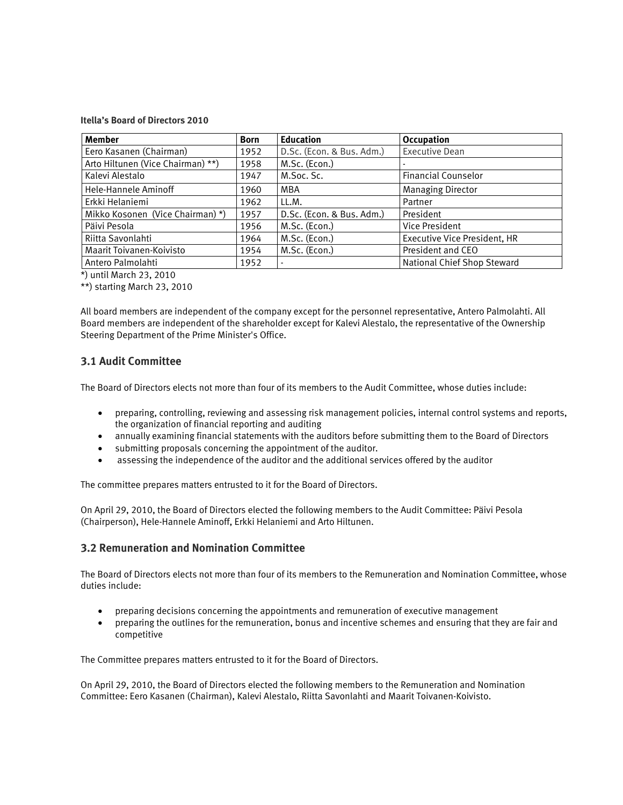#### **Itella's Board of Directors 2010**

| Member                            | <b>Born</b> | <b>Education</b>          | <b>Occupation</b>                   |
|-----------------------------------|-------------|---------------------------|-------------------------------------|
| Eero Kasanen (Chairman)           | 1952        | D.Sc. (Econ. & Bus. Adm.) | Executive Dean                      |
| Arto Hiltunen (Vice Chairman) **) | 1958        | M.Sc. (Econ.)             |                                     |
| Kalevi Alestalo                   | 1947        | M.Soc. Sc.                | <b>Financial Counselor</b>          |
| Hele-Hannele Aminoff              | 1960        | MBA                       | <b>Managing Director</b>            |
| Erkki Helaniemi                   | 1962        | LL.M.                     | Partner                             |
| Mikko Kosonen (Vice Chairman) *)  | 1957        | D.Sc. (Econ. & Bus. Adm.) | President                           |
| Päivi Pesola                      | 1956        | M.Sc. (Econ.)             | Vice President                      |
| Riitta Savonlahti                 | 1964        | M.Sc. (Econ.)             | <b>Executive Vice President, HR</b> |
| Maarit Toivanen-Koivisto          | 1954        | M.Sc. (Econ.)             | President and CEO                   |
| Antero Palmolahti                 | 1952        |                           | National Chief Shop Steward         |

\*) until March 23, 2010

\*\*) starting March 23, 2010

All board members are independent of the company except for the personnel representative, Antero Palmolahti. All Board members are independent of the shareholder except for Kalevi Alestalo, the representative of the Ownership Steering Department of the Prime Minister's Office.

### **3.1 Audit Committee**

The Board of Directors elects not more than four of its members to the Audit Committee, whose duties include:

- preparing, controlling, reviewing and assessing risk management policies, internal control systems and reports, the organization of financial reporting and auditing
- annually examining financial statements with the auditors before submitting them to the Board of Directors
- submitting proposals concerning the appointment of the auditor.
- assessing the independence of the auditor and the additional services offered by the auditor

The committee prepares matters entrusted to it for the Board of Directors.

On April 29, 2010, the Board of Directors elected the following members to the Audit Committee: Päivi Pesola (Chairperson), Hele-Hannele Aminoff, Erkki Helaniemi and Arto Hiltunen.

### **3.2 Remuneration and Nomination Committee**

The Board of Directors elects not more than four of its members to the Remuneration and Nomination Committee, whose duties include:

- preparing decisions concerning the appointments and remuneration of executive management
- preparing the outlines for the remuneration, bonus and incentive schemes and ensuring that they are fair and competitive

The Committee prepares matters entrusted to it for the Board of Directors.

On April 29, 2010, the Board of Directors elected the following members to the Remuneration and Nomination Committee: Eero Kasanen (Chairman), Kalevi Alestalo, Riitta Savonlahti and Maarit Toivanen-Koivisto.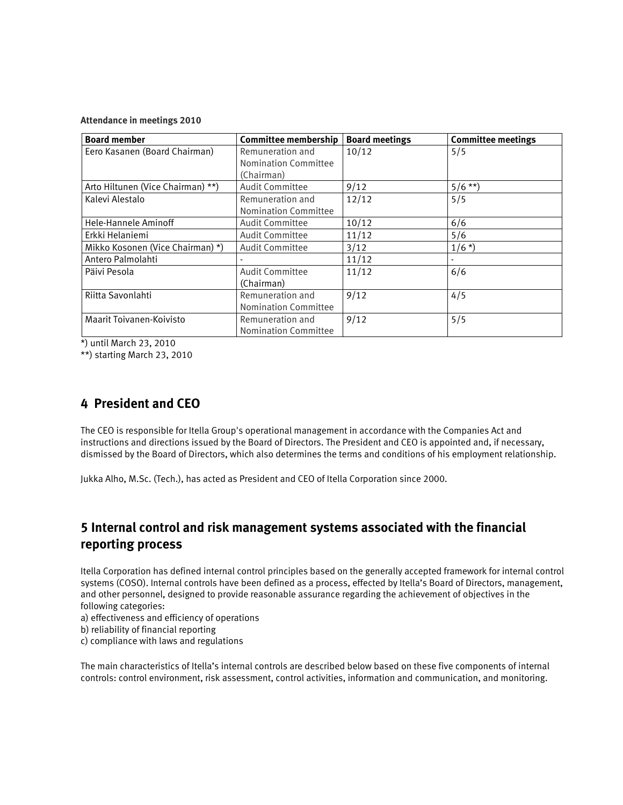#### **Attendance in meetings 2010**

| <b>Board member</b>               | <b>Committee membership</b> | <b>Board meetings</b> | <b>Committee meetings</b> |
|-----------------------------------|-----------------------------|-----------------------|---------------------------|
| Eero Kasanen (Board Chairman)     | Remuneration and            | 10/12                 | 5/5                       |
|                                   | <b>Nomination Committee</b> |                       |                           |
|                                   | (Chairman)                  |                       |                           |
| Arto Hiltunen (Vice Chairman) **) | <b>Audit Committee</b>      | 9/12                  | $5/6$ **)                 |
| Kalevi Alestalo                   | Remuneration and            | 12/12                 | 5/5                       |
|                                   | <b>Nomination Committee</b> |                       |                           |
| Hele-Hannele Aminoff              | <b>Audit Committee</b>      | 10/12                 | 6/6                       |
| Erkki Helaniemi                   | <b>Audit Committee</b>      | 11/12                 | 5/6                       |
| Mikko Kosonen (Vice Chairman) *)  | <b>Audit Committee</b>      | 3/12                  | $1/6*)$                   |
| Antero Palmolahti                 |                             | 11/12                 |                           |
| Päivi Pesola                      | <b>Audit Committee</b>      | 11/12                 | 6/6                       |
|                                   | (Chairman)                  |                       |                           |
| Riitta Savonlahti                 | Remuneration and            | 9/12                  | 4/5                       |
|                                   | <b>Nomination Committee</b> |                       |                           |
| Maarit Toivanen-Koivisto          | Remuneration and            | 9/12                  | 5/5                       |
|                                   | <b>Nomination Committee</b> |                       |                           |

 $\overline{\ast}$ ) until March 23, 2010

\*\*) starting March 23, 2010

## **4 President and CEO**

The CEO is responsible for Itella Group's operational management in accordance with the Companies Act and instructions and directions issued by the Board of Directors. The President and CEO is appointed and, if necessary, dismissed by the Board of Directors, which also determines the terms and conditions of his employment relationship.

Jukka Alho, M.Sc. (Tech.), has acted as President and CEO of Itella Corporation since 2000.

# **5 Internal control and risk management systems associated with the financial reporting process**

Itella Corporation has defined internal control principles based on the generally accepted framework for internal control systems (COSO). Internal controls have been defined as a process, effected by Itella's Board of Directors, management, and other personnel, designed to provide reasonable assurance regarding the achievement of objectives in the following categories:

- a) effectiveness and efficiency of operations
- b) reliability of financial reporting
- c) compliance with laws and regulations

The main characteristics of Itella's internal controls are described below based on these five components of internal controls: control environment, risk assessment, control activities, information and communication, and monitoring.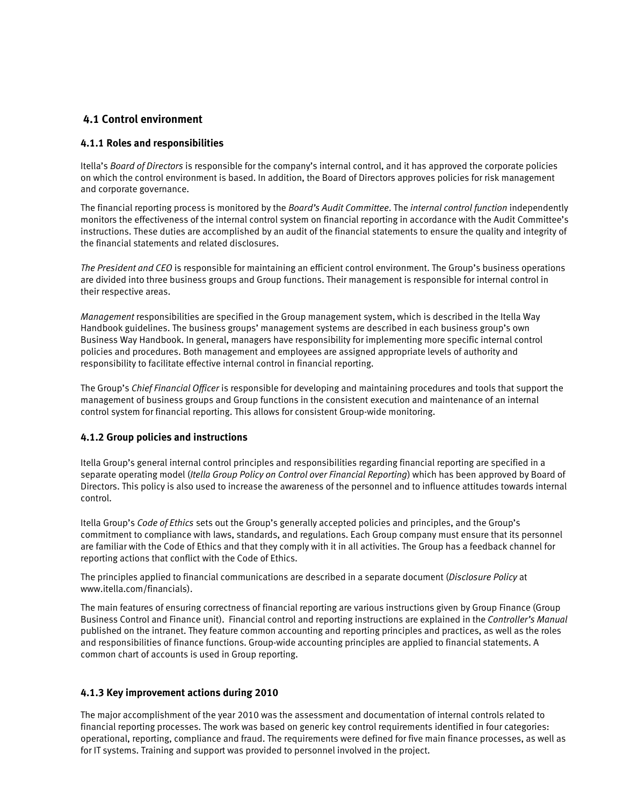### **4.1 Control environment**

### **4.1.1 Roles and responsibilities**

Itella's *Board of Directors* is responsible for the company's internal control, and it has approved the corporate policies on which the control environment is based. In addition, the Board of Directors approves policies for risk management and corporate governance.

The financial reporting process is monitored by the *Board's Audit Committee*. The *internal control function* independently monitors the effectiveness of the internal control system on financial reporting in accordance with the Audit Committee's instructions. These duties are accomplished by an audit of the financial statements to ensure the quality and integrity of the financial statements and related disclosures.

*The President and CEO* is responsible for maintaining an efficient control environment. The Group's business operations are divided into three business groups and Group functions. Their management is responsible for internal control in their respective areas.

*Management* responsibilities are specified in the Group management system, which is described in the Itella Way Handbook guidelines. The business groups' management systems are described in each business group's own Business Way Handbook. In general, managers have responsibility for implementing more specific internal control policies and procedures. Both management and employees are assigned appropriate levels of authority and responsibility to facilitate effective internal control in financial reporting.

The Group's *Chief Financial Officer* is responsible for developing and maintaining procedures and tools that support the management of business groups and Group functions in the consistent execution and maintenance of an internal control system for financial reporting. This allows for consistent Group-wide monitoring.

### **4.1.2 Group policies and instructions**

Itella Group's general internal control principles and responsibilities regarding financial reporting are specified in a separate operating model (*Itella Group Policy on Control over Financial Reporting*) which has been approved by Board of Directors. This policy is also used to increase the awareness of the personnel and to influence attitudes towards internal control.

Itella Group's *Code of Ethics* sets out the Group's generally accepted policies and principles, and the Group's commitment to compliance with laws, standards, and regulations. Each Group company must ensure that its personnel are familiar with the Code of Ethics and that they comply with it in all activities. The Group has a feedback channel for reporting actions that conflict with the Code of Ethics.

The principles applied to financial communications are described in a separate document (*Disclosure Policy* at www.itella.com/financials).

The main features of ensuring correctness of financial reporting are various instructions given by Group Finance (Group Business Control and Finance unit). Financial control and reporting instructions are explained in the *Controller's Manual* published on the intranet. They feature common accounting and reporting principles and practices, as well as the roles and responsibilities of finance functions. Group-wide accounting principles are applied to financial statements. A common chart of accounts is used in Group reporting.

### **4.1.3 Key improvement actions during 2010**

The major accomplishment of the year 2010 was the assessment and documentation of internal controls related to financial reporting processes. The work was based on generic key control requirements identified in four categories: operational, reporting, compliance and fraud. The requirements were defined for five main finance processes, as well as for IT systems. Training and support was provided to personnel involved in the project.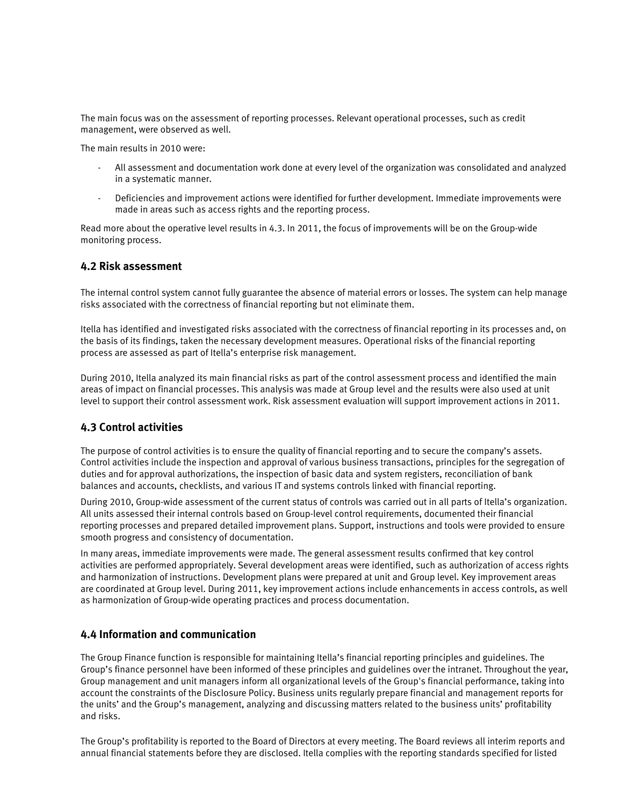The main focus was on the assessment of reporting processes. Relevant operational processes, such as credit management, were observed as well.

The main results in 2010 were:

- All assessment and documentation work done at every level of the organization was consolidated and analyzed in a systematic manner.
- Deficiencies and improvement actions were identified for further development. Immediate improvements were made in areas such as access rights and the reporting process.

Read more about the operative level results in 4.3. In 2011, the focus of improvements will be on the Group-wide monitoring process.

#### **4.2 Risk assessment**

The internal control system cannot fully guarantee the absence of material errors or losses. The system can help manage risks associated with the correctness of financial reporting but not eliminate them.

Itella has identified and investigated risks associated with the correctness of financial reporting in its processes and, on the basis of its findings, taken the necessary development measures. Operational risks of the financial reporting process are assessed as part of Itella's enterprise risk management.

During 2010, Itella analyzed its main financial risks as part of the control assessment process and identified the main areas of impact on financial processes. This analysis was made at Group level and the results were also used at unit level to support their control assessment work. Risk assessment evaluation will support improvement actions in 2011.

#### **4.3 Control activities**

The purpose of control activities is to ensure the quality of financial reporting and to secure the company's assets. Control activities include the inspection and approval of various business transactions, principles for the segregation of duties and for approval authorizations, the inspection of basic data and system registers, reconciliation of bank balances and accounts, checklists, and various IT and systems controls linked with financial reporting.

During 2010, Group-wide assessment of the current status of controls was carried out in all parts of Itella's organization. All units assessed their internal controls based on Group-level control requirements, documented their financial reporting processes and prepared detailed improvement plans. Support, instructions and tools were provided to ensure smooth progress and consistency of documentation.

In many areas, immediate improvements were made. The general assessment results confirmed that key control activities are performed appropriately. Several development areas were identified, such as authorization of access rights and harmonization of instructions. Development plans were prepared at unit and Group level. Key improvement areas are coordinated at Group level. During 2011, key improvement actions include enhancements in access controls, as well as harmonization of Group-wide operating practices and process documentation.

### **4.4 Information and communication**

The Group Finance function is responsible for maintaining Itella's financial reporting principles and guidelines. The Group's finance personnel have been informed of these principles and guidelines over the intranet. Throughout the year, Group management and unit managers inform all organizational levels of the Group's financial performance, taking into account the constraints of the Disclosure Policy. Business units regularly prepare financial and management reports for the units' and the Group's management, analyzing and discussing matters related to the business units' profitability and risks.

The Group's profitability is reported to the Board of Directors at every meeting. The Board reviews all interim reports and annual financial statements before they are disclosed. Itella complies with the reporting standards specified for listed